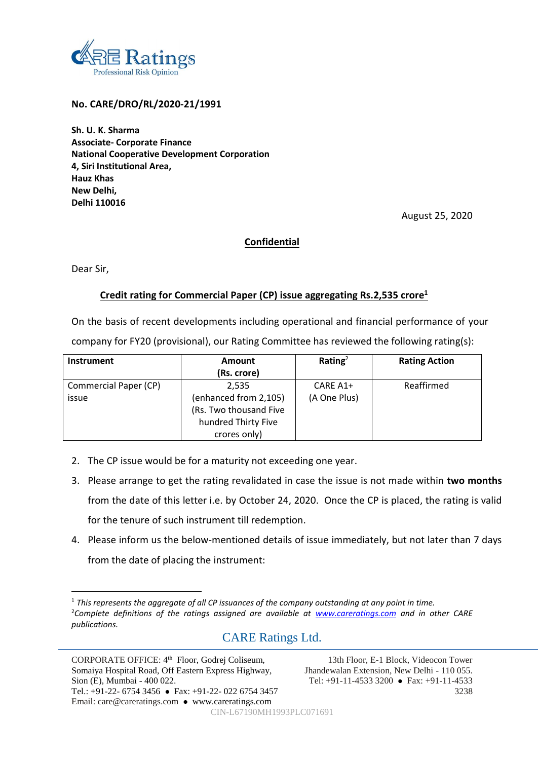

## **No. CARE/DRO/RL/2020-21/1991**

**Sh. U. K. Sharma Associate- Corporate Finance National Cooperative Development Corporation 4, Siri Institutional Area, Hauz Khas New Delhi, Delhi 110016**

August 25, 2020

# **Confidential**

Dear Sir,

 $\overline{a}$ 

## **Credit rating for Commercial Paper (CP) issue aggregating Rs.2,535 crore<sup>1</sup>**

On the basis of recent developments including operational and financial performance of your

company for FY20 (provisional), our Rating Committee has reviewed the following rating(s):

| <b>Instrument</b>     | <b>Amount</b>          | Rating <sup>2</sup> | <b>Rating Action</b> |  |
|-----------------------|------------------------|---------------------|----------------------|--|
|                       | (Rs. crore)            |                     |                      |  |
| Commercial Paper (CP) | 2.535                  | CARE A1+            | Reaffirmed           |  |
| issue                 | (enhanced from 2,105)  | (A One Plus)        |                      |  |
|                       | (Rs. Two thousand Five |                     |                      |  |
|                       | hundred Thirty Five    |                     |                      |  |
|                       | crores only)           |                     |                      |  |

- 2. The CP issue would be for a maturity not exceeding one year.
- 3. Please arrange to get the rating revalidated in case the issue is not made within **two months**  from the date of this letter i.e. by October 24, 2020. Once the CP is placed, the rating is valid for the tenure of such instrument till redemption.
- 4. Please inform us the below-mentioned details of issue immediately, but not later than 7 days from the date of placing the instrument:

# CARE Ratings Ltd.

CIN-L67190MH1993PLC071691

<sup>1</sup> *This represents the aggregate of all CP issuances of the company outstanding at any point in time.* <sup>2</sup>*Complete definitions of the ratings assigned are available at [www.careratings.com](http://www.careratings.com/) and in other CARE publications.*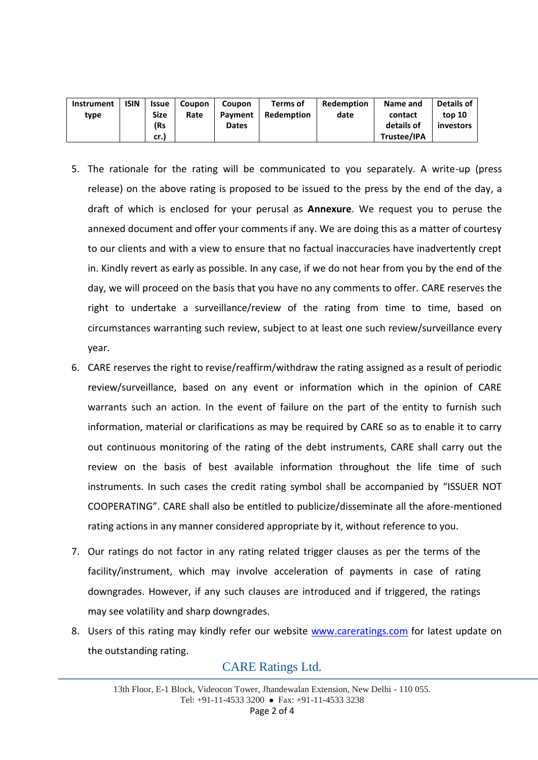| <b>Instrument</b> | <b>ISIN</b> | <b>Issue</b> | <b>Coupon</b> | <b>Coupon</b> | Terms of          | Redemption | Name and    | Details of |
|-------------------|-------------|--------------|---------------|---------------|-------------------|------------|-------------|------------|
| type              |             | Size         | Rate          | Payment       | <b>Redemption</b> | date       | contact     | top 10     |
|                   |             | (Rs          |               | <b>Dates</b>  |                   |            | details of  | investors  |
|                   |             | cr.)         |               |               |                   |            | Trustee/IPA |            |

- 5. The rationale for the rating will be communicated to you separately. A write-up (press release) on the above rating is proposed to be issued to the press by the end of the day, a draft of which is enclosed for your perusal as **Annexure**. We request you to peruse the annexed document and offer your comments if any. We are doing this as a matter of courtesy to our clients and with a view to ensure that no factual inaccuracies have inadvertently crept in. Kindly revert as early as possible. In any case, if we do not hear from you by the end of the day, we will proceed on the basis that you have no any comments to offer. CARE reserves the right to undertake a surveillance/review of the rating from time to time, based on circumstances warranting such review, subject to at least one such review/surveillance every year.
- 6. CARE reserves the right to revise/reaffirm/withdraw the rating assigned as a result of periodic review/surveillance, based on any event or information which in the opinion of CARE warrants such an action. In the event of failure on the part of the entity to furnish such information, material or clarifications as may be required by CARE so as to enable it to carry out continuous monitoring of the rating of the debt instruments, CARE shall carry out the review on the basis of best available information throughout the life time of such instruments. In such cases the credit rating symbol shall be accompanied by "ISSUER NOT COOPERATING". CARE shall also be entitled to publicize/disseminate all the afore-mentioned rating actions in any manner considered appropriate by it, without reference to you.
- 7. Our ratings do not factor in any rating related trigger clauses as per the terms of the facility/instrument, which may involve acceleration of payments in case of rating downgrades. However, if any such clauses are introduced and if triggered, the ratings may see volatility and sharp downgrades.
- 8. Users of this rating may kindly refer our website [www.careratings.com](http://www.careratings.com/) for latest update on the outstanding rating.

# CARE Ratings Ltd.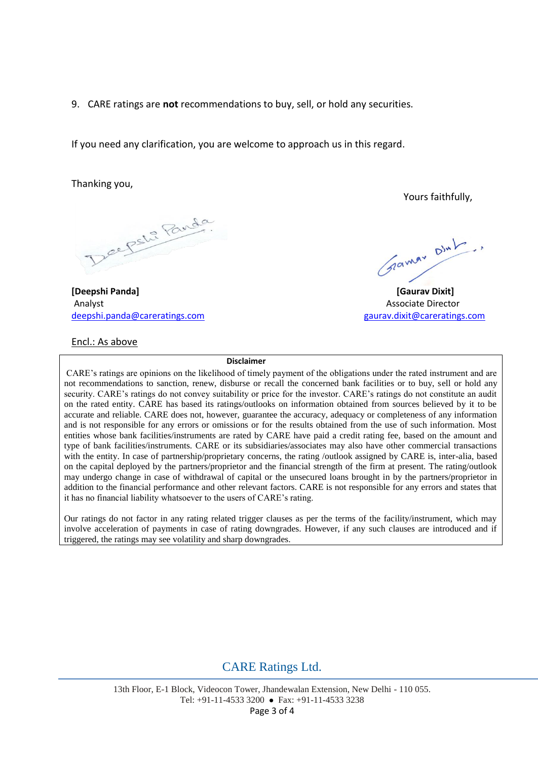9. CARE ratings are **not** recommendations to buy, sell, or hold any securities.

If you need any clarification, you are welcome to approach us in this regard.

Thanking you,

Deepshi Panda

**[Deepshi Panda] [Gaurav Dixit]** Analyst Associate Director [deepshi.panda@careratings.com](mailto:deepshi.panda@careratings.com) deepshi.panda@careratings.com

# Encl.: As above

Yours faithfully,

Grammy Dint

#### **Disclaimer**

CARE's ratings are opinions on the likelihood of timely payment of the obligations under the rated instrument and are not recommendations to sanction, renew, disburse or recall the concerned bank facilities or to buy, sell or hold any security. CARE's ratings do not convey suitability or price for the investor. CARE's ratings do not constitute an audit on the rated entity. CARE has based its ratings/outlooks on information obtained from sources believed by it to be accurate and reliable. CARE does not, however, guarantee the accuracy, adequacy or completeness of any information and is not responsible for any errors or omissions or for the results obtained from the use of such information. Most entities whose bank facilities/instruments are rated by CARE have paid a credit rating fee, based on the amount and type of bank facilities/instruments. CARE or its subsidiaries/associates may also have other commercial transactions with the entity. In case of partnership/proprietary concerns, the rating /outlook assigned by CARE is, inter-alia, based on the capital deployed by the partners/proprietor and the financial strength of the firm at present. The rating/outlook may undergo change in case of withdrawal of capital or the unsecured loans brought in by the partners/proprietor in addition to the financial performance and other relevant factors. CARE is not responsible for any errors and states that it has no financial liability whatsoever to the users of CARE's rating.

Our ratings do not factor in any rating related trigger clauses as per the terms of the facility/instrument, which may involve acceleration of payments in case of rating downgrades. However, if any such clauses are introduced and if triggered, the ratings may see volatility and sharp downgrades.

# CARE Ratings Ltd.

13th Floor, E-1 Block, Videocon Tower, Jhandewalan Extension, New Delhi - 110 055. Tel: +91-11-4533 3200 Fax: +91-11-4533 3238 Page 3 of 4